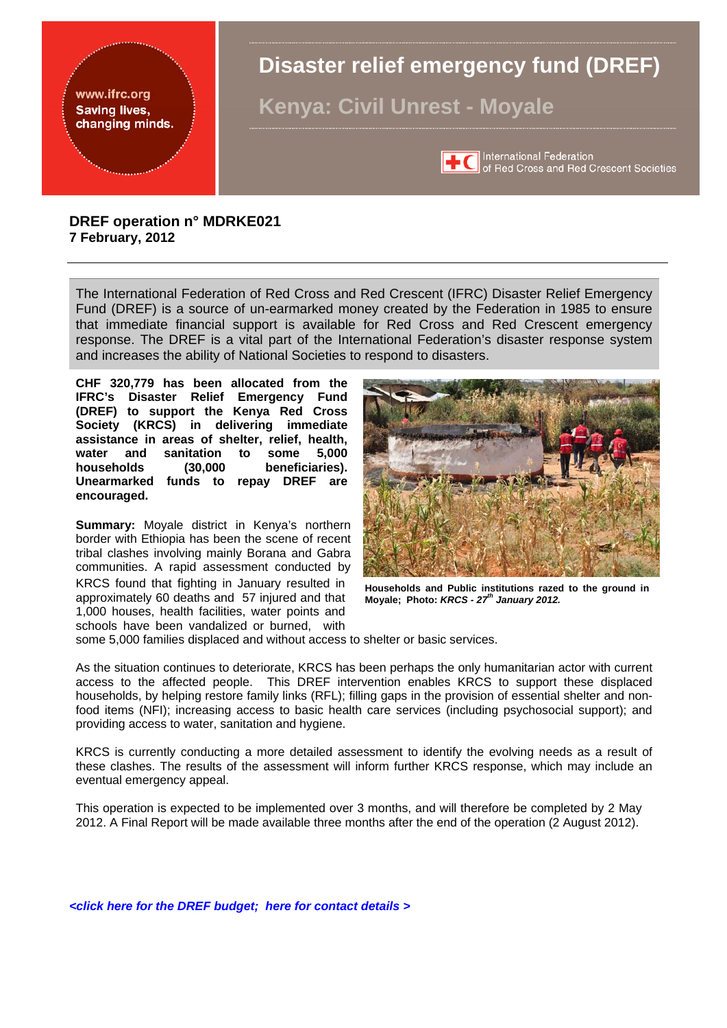<span id="page-0-0"></span>

The International Federation of Red Cross and Red Crescent (IFRC) Disaster Relief Emergency Fund (DREF) is a source of un-earmarked money created by the Federation in 1985 to ensure that immediate financial support is available for Red Cross and Red Crescent emergency response. The DREF is a vital part of the International Federation's disaster response system and increases the ability of National Societies to respond to disasters.

**CHF 320,779 has been allocated from the IFRC's Disaster Relief Emergency Fund (DREF) to support the Kenya Red Cross Society (KRCS) in delivering immediate assistance in areas of shelter, relief, health, water and sanitation to some 5,000 households (30,000 beneficiaries). Unearmarked funds to repay DREF are encouraged.** 

**Summary:** Moyale district in Kenya's northern border with Ethiopia has been the scene of recent tribal clashes involving mainly Borana and Gabra communities. A rapid assessment conducted by KRCS found that fighting in January resulted in approximately 60 deaths and 57 injured and that 1,000 houses, health facilities, water points and schools have been vandalized or burned, with



**Households and Public institutions razed to the ground in Moyale; Photo:** *KRCS - 27th January 2012.* 

some 5,000 families displaced and without access to shelter or basic services.

As the situation continues to deteriorate, KRCS has been perhaps the only humanitarian actor with current access to the affected people. This DREF intervention enables KRCS to support these displaced households, by helping restore family links (RFL); filling gaps in the provision of essential shelter and nonfood items (NFI); increasing access to basic health care services (including psychosocial support); and providing access to water, sanitation and hygiene.

KRCS is currently conducting a more detailed assessment to identify the evolving needs as a result of these clashes. The results of the assessment will inform further KRCS response, which may include an eventual emergency appeal.

This operation is expected to be implemented over 3 months, and will therefore be completed by 2 May 2012. A Final Report will be made available three months after the end of the operation (2 August 2012).

*[<click here for the DREF budget;](#page-7-0) h[ere for contact details >](#page-6-0)*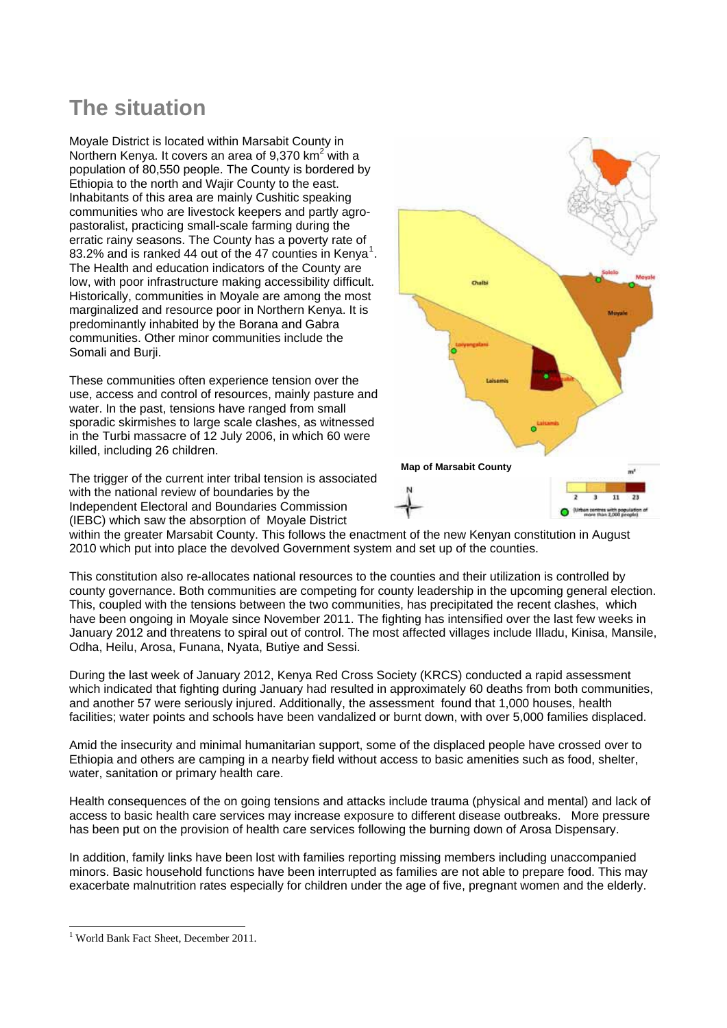# **The situation**

Moyale District is located within Marsabit County in Northern Kenya. It covers an area of 9,370 km<sup>2</sup> with a population of 80,550 people. The County is bordered by Ethiopia to the north and Wajir County to the east. Inhabitants of this area are mainly Cushitic speaking communities who are livestock keepers and partly agropastoralist, practicing small-scale farming during the erratic rainy seasons. The County has a poverty rate of 83.2% and is ranked 44 out of the 47 counties in Kenya<sup>[1](#page-1-0)</sup>. The Health and education indicators of the County are low, with poor infrastructure making accessibility difficult. Historically, communities in Moyale are among the most marginalized and resource poor in Northern Kenya. It is predominantly inhabited by the Borana and Gabra communities. Other minor communities include the Somali and Burji.

These communities often experience tension over the use, access and control of resources, mainly pasture and water. In the past, tensions have ranged from small sporadic skirmishes to large scale clashes, as witnessed in the Turbi massacre of 12 July 2006, in which 60 were killed, including 26 children.

The trigger of the current inter tribal tension is associated with the national review of boundaries by the Independent Electoral and Boundaries Commission (IEBC) which saw the absorption of Moyale District



within the greater Marsabit County. This follows the enactment of the new Kenyan constitution in August 2010 which put into place the devolved Government system and set up of the counties.

This constitution also re-allocates national resources to the counties and their utilization is controlled by county governance. Both communities are competing for county leadership in the upcoming general election. This, coupled with the tensions between the two communities, has precipitated the recent clashes, which have been ongoing in Moyale since November 2011. The fighting has intensified over the last few weeks in January 2012 and threatens to spiral out of control. The most affected villages include Illadu, Kinisa, Mansile, Odha, Heilu, Arosa, Funana, Nyata, Butiye and Sessi.

During the last week of January 2012, Kenya Red Cross Society (KRCS) conducted a rapid assessment which indicated that fighting during January had resulted in approximately 60 deaths from both communities, and another 57 were seriously injured. Additionally, the assessment found that 1,000 houses, health facilities; water points and schools have been vandalized or burnt down, with over 5,000 families displaced.

Amid the insecurity and minimal humanitarian support, some of the displaced people have crossed over to Ethiopia and others are camping in a nearby field without access to basic amenities such as food, shelter, water, sanitation or primary health care.

Health consequences of the on going tensions and attacks include trauma (physical and mental) and lack of access to basic health care services may increase exposure to different disease outbreaks. More pressure has been put on the provision of health care services following the burning down of Arosa Dispensary.

In addition, family links have been lost with families reporting missing members including unaccompanied minors. Basic household functions have been interrupted as families are not able to prepare food. This may exacerbate malnutrition rates especially for children under the age of five, pregnant women and the elderly.

 $\overline{a}$ 

<span id="page-1-0"></span><sup>1</sup> World Bank Fact Sheet, December 2011.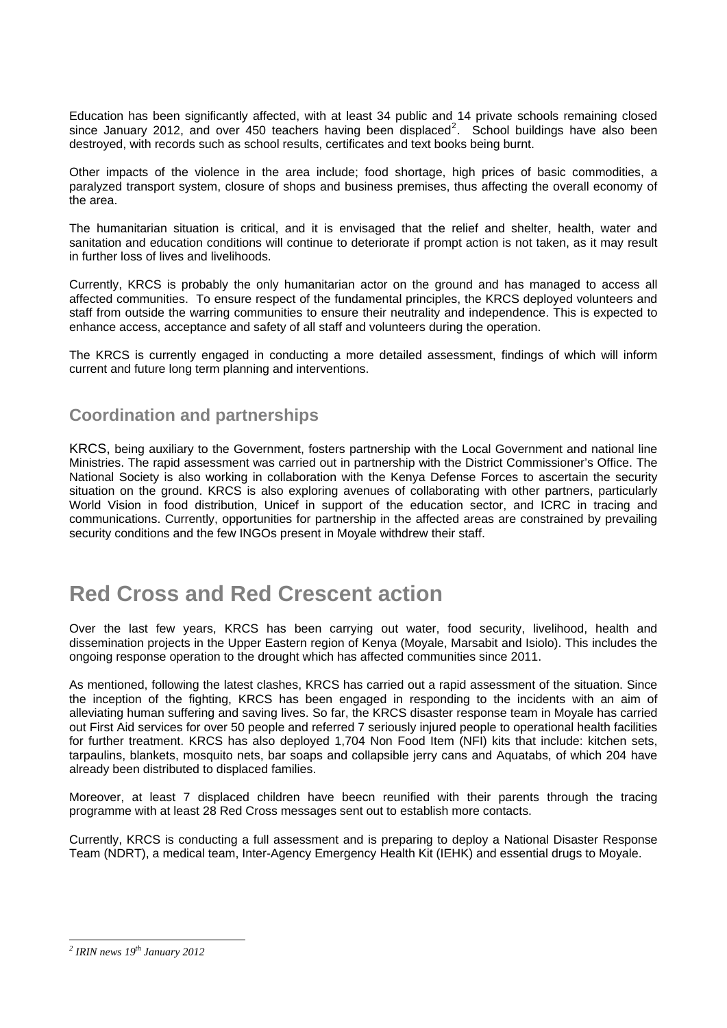Education has been significantly affected, with at least 34 public and 14 private schools remaining closed since January [2](#page-2-0)012, and over 450 teachers having been displaced<sup>2</sup>. School buildings have also been destroyed, with records such as school results, certificates and text books being burnt.

Other impacts of the violence in the area include; food shortage, high prices of basic commodities, a paralyzed transport system, closure of shops and business premises, thus affecting the overall economy of the area.

The humanitarian situation is critical, and it is envisaged that the relief and shelter, health, water and sanitation and education conditions will continue to deteriorate if prompt action is not taken, as it may result in further loss of lives and livelihoods.

Currently, KRCS is probably the only humanitarian actor on the ground and has managed to access all affected communities. To ensure respect of the fundamental principles, the KRCS deployed volunteers and staff from outside the warring communities to ensure their neutrality and independence. This is expected to enhance access, acceptance and safety of all staff and volunteers during the operation.

The KRCS is currently engaged in conducting a more detailed assessment, findings of which will inform current and future long term planning and interventions.

### **Coordination and partnerships**

KRCS, being auxiliary to the Government, fosters partnership with the Local Government and national line Ministries. The rapid assessment was carried out in partnership with the District Commissioner's Office. The National Society is also working in collaboration with the Kenya Defense Forces to ascertain the security situation on the ground. KRCS is also exploring avenues of collaborating with other partners, particularly World Vision in food distribution, Unicef in support of the education sector, and ICRC in tracing and communications. Currently, opportunities for partnership in the affected areas are constrained by prevailing security conditions and the few INGOs present in Moyale withdrew their staff.

# **Red Cross and Red Crescent action**

Over the last few years, KRCS has been carrying out water, food security, livelihood, health and dissemination projects in the Upper Eastern region of Kenya (Moyale, Marsabit and Isiolo). This includes the ongoing response operation to the drought which has affected communities since 2011.

As mentioned, following the latest clashes, KRCS has carried out a rapid assessment of the situation. Since the inception of the fighting, KRCS has been engaged in responding to the incidents with an aim of alleviating human suffering and saving lives. So far, the KRCS disaster response team in Moyale has carried out First Aid services for over 50 people and referred 7 seriously injured people to operational health facilities for further treatment. KRCS has also deployed 1,704 Non Food Item (NFI) kits that include: kitchen sets, tarpaulins, blankets, mosquito nets, bar soaps and collapsible jerry cans and Aquatabs, of which 204 have already been distributed to displaced families.

Moreover, at least 7 displaced children have beecn reunified with their parents through the tracing programme with at least 28 Red Cross messages sent out to establish more contacts.

Currently, KRCS is conducting a full assessment and is preparing to deploy a National Disaster Response Team (NDRT), a medical team, Inter-Agency Emergency Health Kit (IEHK) and essential drugs to Moyale.

<span id="page-2-0"></span> *2 IRIN news 19th January 2012*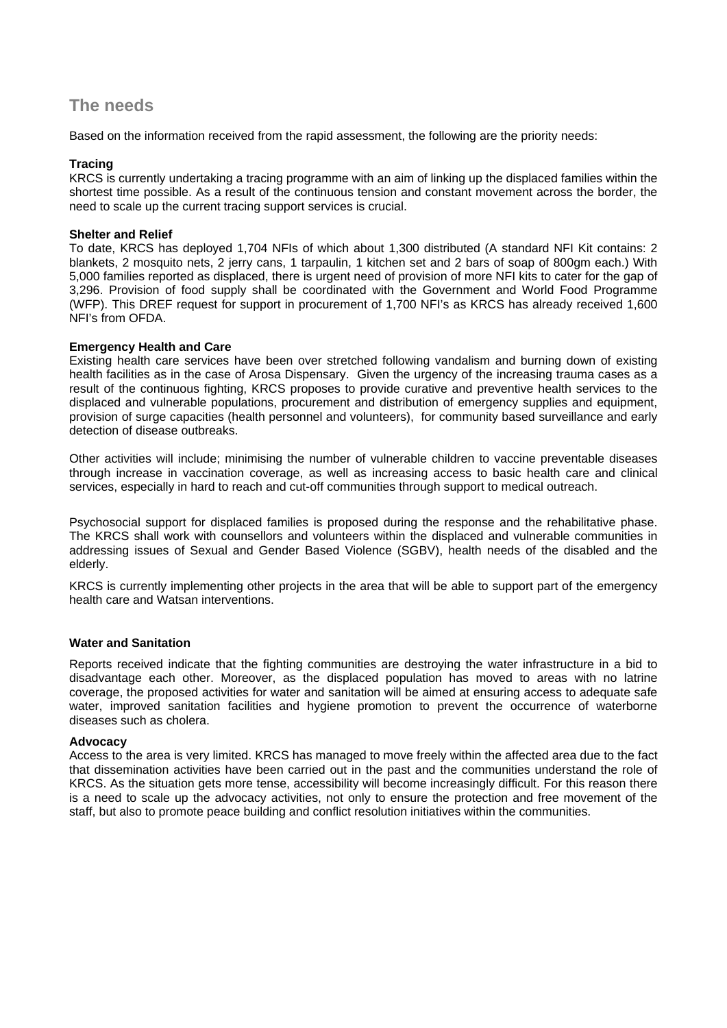### **The needs**

Based on the information received from the rapid assessment, the following are the priority needs:

#### **Tracing**

KRCS is currently undertaking a tracing programme with an aim of linking up the displaced families within the shortest time possible. As a result of the continuous tension and constant movement across the border, the need to scale up the current tracing support services is crucial.

#### **Shelter and Relief**

To date, KRCS has deployed 1,704 NFIs of which about 1,300 distributed (A standard NFI Kit contains: 2 blankets, 2 mosquito nets, 2 jerry cans, 1 tarpaulin, 1 kitchen set and 2 bars of soap of 800gm each.) With 5,000 families reported as displaced, there is urgent need of provision of more NFI kits to cater for the gap of 3,296. Provision of food supply shall be coordinated with the Government and World Food Programme (WFP). This DREF request for support in procurement of 1,700 NFI's as KRCS has already received 1,600 NFI's from OFDA.

#### **Emergency Health and Care**

Existing health care services have been over stretched following vandalism and burning down of existing health facilities as in the case of Arosa Dispensary. Given the urgency of the increasing trauma cases as a result of the continuous fighting, KRCS proposes to provide curative and preventive health services to the displaced and vulnerable populations, procurement and distribution of emergency supplies and equipment, provision of surge capacities (health personnel and volunteers), for community based surveillance and early detection of disease outbreaks.

Other activities will include; minimising the number of vulnerable children to vaccine preventable diseases through increase in vaccination coverage, as well as increasing access to basic health care and clinical services, especially in hard to reach and cut-off communities through support to medical outreach.

Psychosocial support for displaced families is proposed during the response and the rehabilitative phase. The KRCS shall work with counsellors and volunteers within the displaced and vulnerable communities in addressing issues of Sexual and Gender Based Violence (SGBV), health needs of the disabled and the elderly.

KRCS is currently implementing other projects in the area that will be able to support part of the emergency health care and Watsan interventions.

#### **Water and Sanitation**

Reports received indicate that the fighting communities are destroying the water infrastructure in a bid to disadvantage each other. Moreover, as the displaced population has moved to areas with no latrine coverage, the proposed activities for water and sanitation will be aimed at ensuring access to adequate safe water, improved sanitation facilities and hygiene promotion to prevent the occurrence of waterborne diseases such as cholera.

#### **Advocacy**

Access to the area is very limited. KRCS has managed to move freely within the affected area due to the fact that dissemination activities have been carried out in the past and the communities understand the role of KRCS. As the situation gets more tense, accessibility will become increasingly difficult. For this reason there is a need to scale up the advocacy activities, not only to ensure the protection and free movement of the staff, but also to promote peace building and conflict resolution initiatives within the communities.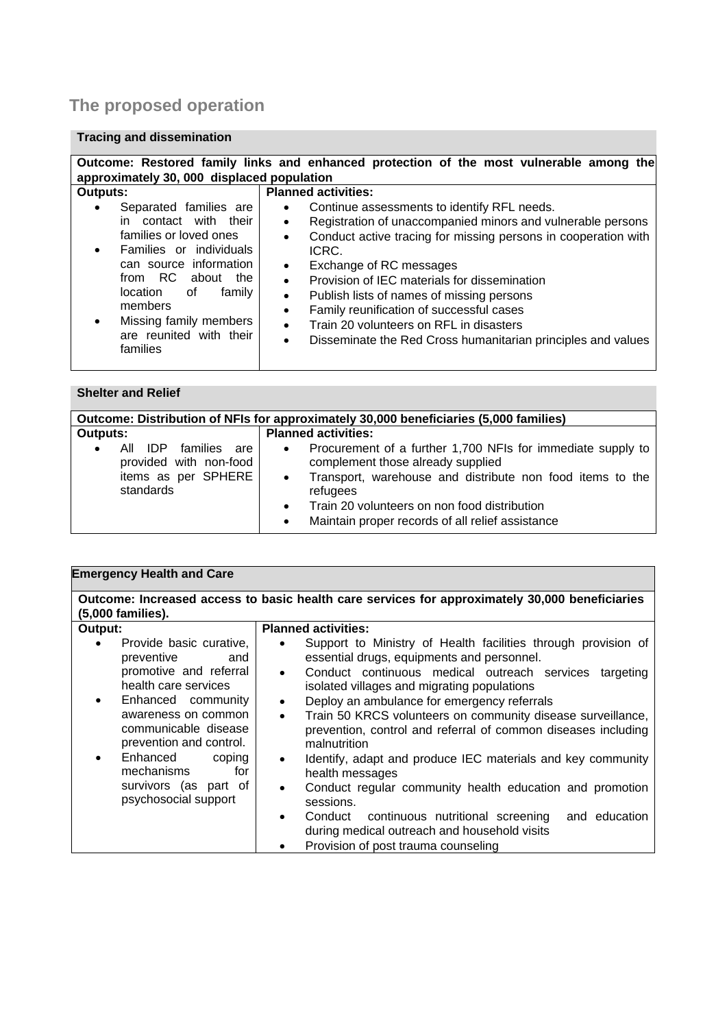# **The proposed operation**

### **Tracing and dissemination**

| Outcome: Restored family links and enhanced protection of the most vulnerable among the<br>approximately 30, 000 displaced population                                                                                                                                                              |                                                                                                                                                                                                                                                                                                                                                                                                                                                                                                                                                                                                                 |  |  |  |
|----------------------------------------------------------------------------------------------------------------------------------------------------------------------------------------------------------------------------------------------------------------------------------------------------|-----------------------------------------------------------------------------------------------------------------------------------------------------------------------------------------------------------------------------------------------------------------------------------------------------------------------------------------------------------------------------------------------------------------------------------------------------------------------------------------------------------------------------------------------------------------------------------------------------------------|--|--|--|
| <b>Outputs:</b><br>Separated families are<br>contact with their<br>in.<br>families or loved ones<br>Families or individuals<br>$\bullet$<br>can source information<br>from RC about<br>the<br>location<br>οf<br>family<br>members<br>Missing family members<br>are reunited with their<br>families | <b>Planned activities:</b><br>Continue assessments to identify RFL needs.<br>$\bullet$<br>Registration of unaccompanied minors and vulnerable persons<br>$\bullet$<br>Conduct active tracing for missing persons in cooperation with<br>$\bullet$<br>ICRC.<br>Exchange of RC messages<br>$\bullet$<br>Provision of IEC materials for dissemination<br>$\bullet$<br>Publish lists of names of missing persons<br>$\bullet$<br>Family reunification of successful cases<br>$\bullet$<br>Train 20 volunteers on RFL in disasters<br>$\bullet$<br>Disseminate the Red Cross humanitarian principles and values<br>٠ |  |  |  |

### **Shelter and Relief**

| Outcome: Distribution of NFIs for approximately 30,000 beneficiaries (5,000 families)                                                                                                                                                                                                                                                 |                                                                                                                          |  |  |
|---------------------------------------------------------------------------------------------------------------------------------------------------------------------------------------------------------------------------------------------------------------------------------------------------------------------------------------|--------------------------------------------------------------------------------------------------------------------------|--|--|
| <b>Planned activities:</b><br>Outputs:<br>All IDP families are<br>$\bullet$<br>provided with non-food<br>complement those already supplied<br>items as per SPHERE<br>$\bullet$<br>standards<br>refugees<br>Train 20 volunteers on non food distribution<br>$\bullet$<br>Maintain proper records of all relief assistance<br>$\bullet$ | Procurement of a further 1,700 NFIs for immediate supply to<br>Transport, warehouse and distribute non food items to the |  |  |

| <b>Emergency Health and Care</b>                                                                                                                                                                                                                                                                                                             |                                                                                                                                                                                                                                                                                                                                                                                                                                                                                                                                                                                                                                                                                                                                                                                            |  |  |  |
|----------------------------------------------------------------------------------------------------------------------------------------------------------------------------------------------------------------------------------------------------------------------------------------------------------------------------------------------|--------------------------------------------------------------------------------------------------------------------------------------------------------------------------------------------------------------------------------------------------------------------------------------------------------------------------------------------------------------------------------------------------------------------------------------------------------------------------------------------------------------------------------------------------------------------------------------------------------------------------------------------------------------------------------------------------------------------------------------------------------------------------------------------|--|--|--|
| Outcome: Increased access to basic health care services for approximately 30,000 beneficiaries<br>(5,000 families).                                                                                                                                                                                                                          |                                                                                                                                                                                                                                                                                                                                                                                                                                                                                                                                                                                                                                                                                                                                                                                            |  |  |  |
| Output:<br>Provide basic curative,<br>$\bullet$<br>preventive<br>and<br>promotive and referral<br>health care services<br>Enhanced community<br>$\bullet$<br>awareness on common<br>communicable disease<br>prevention and control.<br>Enhanced<br>coping<br>$\bullet$<br>mechanisms<br>for<br>survivors (as part of<br>psychosocial support | <b>Planned activities:</b><br>Support to Ministry of Health facilities through provision of<br>essential drugs, equipments and personnel.<br>Conduct continuous medical outreach services<br>targeting<br>$\bullet$<br>isolated villages and migrating populations<br>Deploy an ambulance for emergency referrals<br>$\bullet$<br>Train 50 KRCS volunteers on community disease surveillance,<br>$\bullet$<br>prevention, control and referral of common diseases including<br>malnutrition<br>Identify, adapt and produce IEC materials and key community<br>$\bullet$<br>health messages<br>Conduct regular community health education and promotion<br>sessions.<br>Conduct continuous nutritional screening and education<br>$\bullet$<br>during medical outreach and household visits |  |  |  |
|                                                                                                                                                                                                                                                                                                                                              | Provision of post trauma counseling                                                                                                                                                                                                                                                                                                                                                                                                                                                                                                                                                                                                                                                                                                                                                        |  |  |  |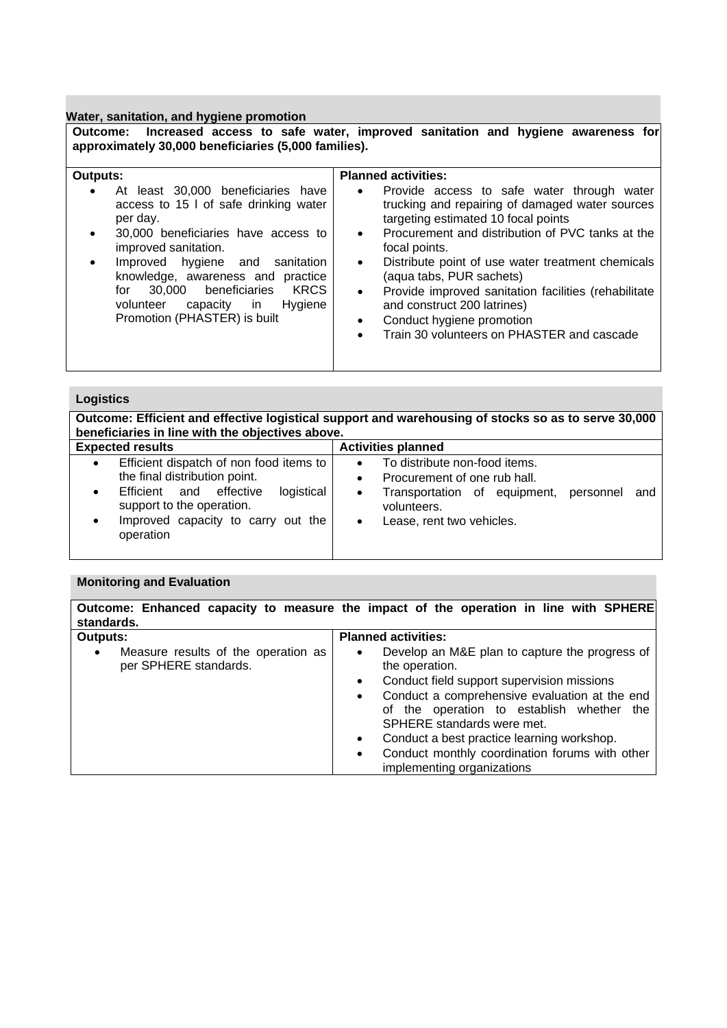**Water, sanitation, and hygiene promotion** 

**Outcome: Increased access to safe water, improved sanitation and hygiene awareness for approximately 30,000 beneficiaries (5,000 families).**

| <b>Outputs:</b>                                                                                                                                                                                                                                                                                                                                                              | <b>Planned activities:</b>                                                                                                                                                                                                                                                                                                                                                                                                                                                                                                                 |
|------------------------------------------------------------------------------------------------------------------------------------------------------------------------------------------------------------------------------------------------------------------------------------------------------------------------------------------------------------------------------|--------------------------------------------------------------------------------------------------------------------------------------------------------------------------------------------------------------------------------------------------------------------------------------------------------------------------------------------------------------------------------------------------------------------------------------------------------------------------------------------------------------------------------------------|
| At least 30,000 beneficiaries have<br>access to 15 l of safe drinking water<br>per day.<br>30,000 beneficiaries have access to<br>improved sanitation.<br>Improved hygiene and<br>sanitation<br>$\bullet$<br>knowledge, awareness and practice<br>beneficiaries<br><b>KRCS</b><br>30.000<br>for<br>volunteer<br>Hygiene<br>capacity<br>in in<br>Promotion (PHASTER) is built | Provide access to safe water through water<br>$\bullet$<br>trucking and repairing of damaged water sources<br>targeting estimated 10 focal points<br>Procurement and distribution of PVC tanks at the<br>$\bullet$<br>focal points.<br>Distribute point of use water treatment chemicals<br>$\bullet$<br>(aqua tabs, PUR sachets)<br>Provide improved sanitation facilities (rehabilitate<br>$\bullet$<br>and construct 200 latrines)<br>Conduct hygiene promotion<br>$\bullet$<br>Train 30 volunteers on PHASTER and cascade<br>$\bullet$ |

#### **Logistics**

**Outcome: Efficient and effective logistical support and warehousing of stocks so as to serve 30,000 beneficiaries in line with the objectives above. Expected results** Activities planned • Efficient dispatch of non food items to the final distribution point. Efficient and effective logistical support to the operation. • Improved capacity to carry out the operation • To distribute non-food items. • Procurement of one rub hall • Transportation of equipment, personnel and volunteers. • Lease, rent two vehicles.

#### **Monitoring and Evaluation**

**Outcome: Enhanced capacity to measure the impact of the operation in line with SPHERE standards. Outputs:**  Measure results of the operation as per SPHERE standards. **Planned activities:**  • Develop an M&E plan to capture the progress of the operation. • Conduct field support supervision missions • Conduct a comprehensive evaluation at the end of the operation to establish whether the SPHERE standards were met. • Conduct a best practice learning workshop. Conduct monthly coordination forums with other implementing organizations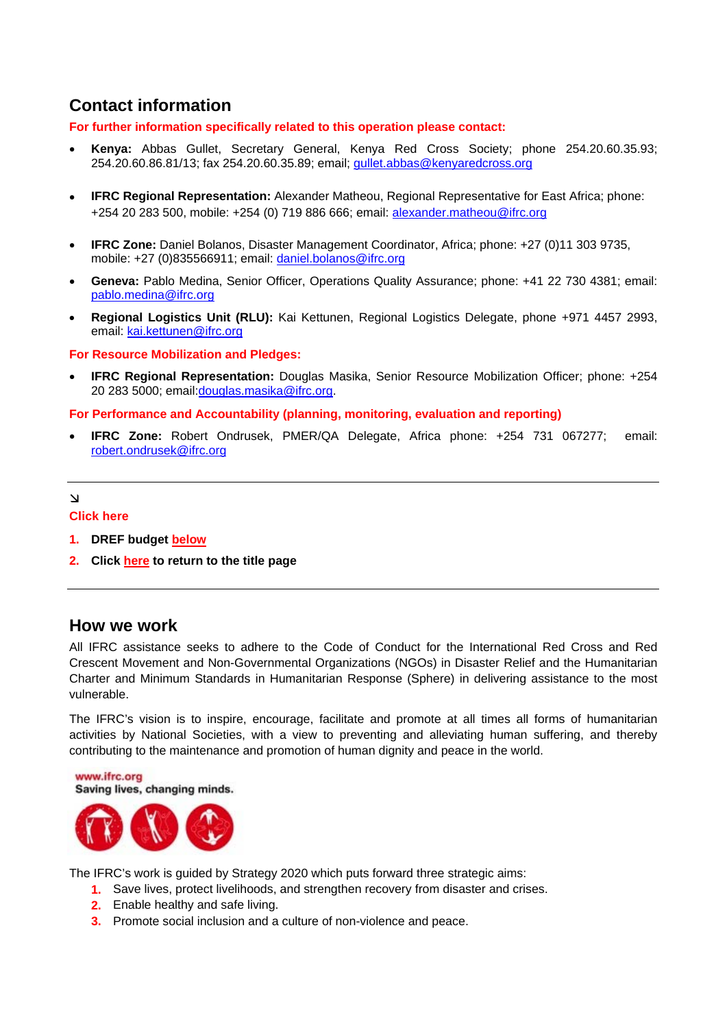# <span id="page-6-0"></span>**Contact information**

**For further information specifically related to this operation please contact:** 

- **Kenya:** Abbas Gullet, Secretary General, Kenya Red Cross Society; phone 254.20.60.35.93; 254.20.60.86.81/13; fax 254.20.60.35.89; email; [gullet.abbas@kenyaredcross.org](mailto:gullet.abbas@kenyaredcross.org)
- **IFRC Regional Representation:** Alexander Matheou, Regional Representative for East Africa; phone: +254 20 283 500, mobile: +254 (0) 719 886 666; email: [alexander.matheou@ifrc.org](mailto:alexander.matheou@ifrc.org)
- **IFRC Zone:** Daniel Bolanos, Disaster Management Coordinator, Africa; phone: +27 (0)11 303 9735, mobile: +27 (0)835566911; email: [daniel.bolanos@ifrc.org](mailto:daniel.bolanos@ifrc.org)
- **Geneva:** Pablo Medina, Senior Officer, Operations Quality Assurance; phone: +41 22 730 4381; email: [pablo.medina@ifrc.org](mailto:pablo.medina@ifrc.org)
- **Regional Logistics Unit (RLU):** Kai Kettunen, Regional Logistics Delegate, phone +971 4457 2993, email: [kai.kettunen@ifrc.org](mailto:kai.kettunen@ifrc.org)

#### **For Resource Mobilization and Pledges:**

• **IFRC Regional Representation:** Douglas Masika, Senior Resource Mobilization Officer; phone: +254 20 283 5000; email:[douglas.masika@ifrc.org.](mailto:douglas.masika@ifrc.org)

#### **For Performance and Accountability (planning, monitoring, evaluation and reporting)**

• **IFRC Zone:** Robert Ondrusek, PMER/QA Delegate, Africa phone: +254 731 067277; email: [robert.ondrusek@ifrc.org](mailto:robert.ondrusek@ifrc.org)

#### $\mathbf{\tilde{v}}$

#### **Click here**

- **1. DREF budget [below](#page-7-0)**
- **2. Clic[k here t](#page-0-0)o return to the title page**

#### **How we work**

All IFRC assistance seeks to adhere to the Code of Conduct for the International Red Cross and Red Crescent Movement and Non-Governmental Organizations (NGOs) in Disaster Relief and the Humanitarian Charter and Minimum Standards in Humanitarian Response (Sphere) in delivering assistance to the most vulnerable.

The IFRC's vision is to inspire, encourage, facilitate and promote at all times all forms of humanitarian activities by National Societies, with a view to preventing and alleviating human suffering, and thereby contributing to the maintenance and promotion of human dignity and peace in the world.

www.ifrc.org Saving lives, changing minds.



The IFRC's work is guided by Strategy 2020 which puts forward three strategic aims:

- **1.** Save lives, protect livelihoods, and strengthen recovery from disaster and crises.
- **2.** Enable healthy and safe living.
- **3.** Promote social inclusion and a culture of non-violence and peace.